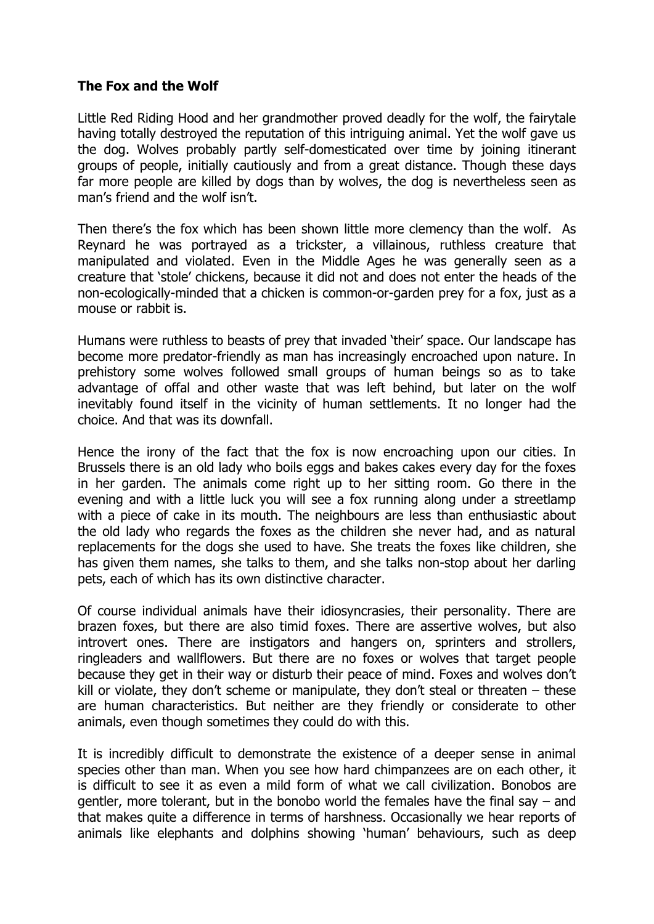## **The Fox and the Wolf**

Little Red Riding Hood and her grandmother proved deadly for the wolf, the fairytale having totally destroyed the reputation of this intriguing animal. Yet the wolf gave us the dog. Wolves probably partly self-domesticated over time by joining itinerant groups of people, initially cautiously and from a great distance. Though these days far more people are killed by dogs than by wolves, the dog is nevertheless seen as man's friend and the wolf isn't.

Then there's the fox which has been shown little more clemency than the wolf. As Reynard he was portrayed as a trickster, a villainous, ruthless creature that manipulated and violated. Even in the Middle Ages he was generally seen as a creature that 'stole' chickens, because it did not and does not enter the heads of the non-ecologically-minded that a chicken is common-or-garden prey for a fox, just as a mouse or rabbit is.

Humans were ruthless to beasts of prey that invaded 'their' space. Our landscape has become more predator-friendly as man has increasingly encroached upon nature. In prehistory some wolves followed small groups of human beings so as to take advantage of offal and other waste that was left behind, but later on the wolf inevitably found itself in the vicinity of human settlements. It no longer had the choice. And that was its downfall.

Hence the irony of the fact that the fox is now encroaching upon our cities. In Brussels there is an old lady who boils eggs and bakes cakes every day for the foxes in her garden. The animals come right up to her sitting room. Go there in the evening and with a little luck you will see a fox running along under a streetlamp with a piece of cake in its mouth. The neighbours are less than enthusiastic about the old lady who regards the foxes as the children she never had, and as natural replacements for the dogs she used to have. She treats the foxes like children, she has given them names, she talks to them, and she talks non-stop about her darling pets, each of which has its own distinctive character.

Of course individual animals have their idiosyncrasies, their personality. There are brazen foxes, but there are also timid foxes. There are assertive wolves, but also introvert ones. There are instigators and hangers on, sprinters and strollers, ringleaders and wallflowers. But there are no foxes or wolves that target people because they get in their way or disturb their peace of mind. Foxes and wolves don't kill or violate, they don't scheme or manipulate, they don't steal or threaten – these are human characteristics. But neither are they friendly or considerate to other animals, even though sometimes they could do with this.

It is incredibly difficult to demonstrate the existence of a deeper sense in animal species other than man. When you see how hard chimpanzees are on each other, it is difficult to see it as even a mild form of what we call civilization. Bonobos are gentler, more tolerant, but in the bonobo world the females have the final say – and that makes quite a difference in terms of harshness. Occasionally we hear reports of animals like elephants and dolphins showing 'human' behaviours, such as deep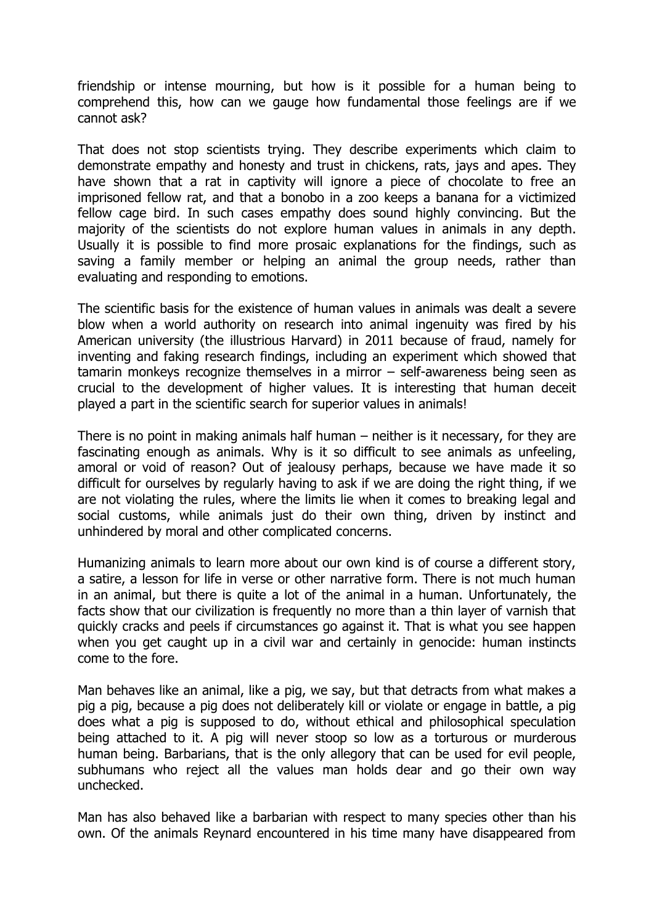friendship or intense mourning, but how is it possible for a human being to comprehend this, how can we gauge how fundamental those feelings are if we cannot ask?

That does not stop scientists trying. They describe experiments which claim to demonstrate empathy and honesty and trust in chickens, rats, jays and apes. They have shown that a rat in captivity will ignore a piece of chocolate to free an imprisoned fellow rat, and that a bonobo in a zoo keeps a banana for a victimized fellow cage bird. In such cases empathy does sound highly convincing. But the majority of the scientists do not explore human values in animals in any depth. Usually it is possible to find more prosaic explanations for the findings, such as saving a family member or helping an animal the group needs, rather than evaluating and responding to emotions.

The scientific basis for the existence of human values in animals was dealt a severe blow when a world authority on research into animal ingenuity was fired by his American university (the illustrious Harvard) in 2011 because of fraud, namely for inventing and faking research findings, including an experiment which showed that tamarin monkeys recognize themselves in a mirror – self-awareness being seen as crucial to the development of higher values. It is interesting that human deceit played a part in the scientific search for superior values in animals!

There is no point in making animals half human – neither is it necessary, for they are fascinating enough as animals. Why is it so difficult to see animals as unfeeling, amoral or void of reason? Out of jealousy perhaps, because we have made it so difficult for ourselves by regularly having to ask if we are doing the right thing, if we are not violating the rules, where the limits lie when it comes to breaking legal and social customs, while animals just do their own thing, driven by instinct and unhindered by moral and other complicated concerns.

Humanizing animals to learn more about our own kind is of course a different story, a satire, a lesson for life in verse or other narrative form. There is not much human in an animal, but there is quite a lot of the animal in a human. Unfortunately, the facts show that our civilization is frequently no more than a thin layer of varnish that quickly cracks and peels if circumstances go against it. That is what you see happen when you get caught up in a civil war and certainly in genocide: human instincts come to the fore.

Man behaves like an animal, like a pig, we say, but that detracts from what makes a pig a pig, because a pig does not deliberately kill or violate or engage in battle, a pig does what a pig is supposed to do, without ethical and philosophical speculation being attached to it. A pig will never stoop so low as a torturous or murderous human being. Barbarians, that is the only allegory that can be used for evil people, subhumans who reject all the values man holds dear and go their own way unchecked.

Man has also behaved like a barbarian with respect to many species other than his own. Of the animals Reynard encountered in his time many have disappeared from